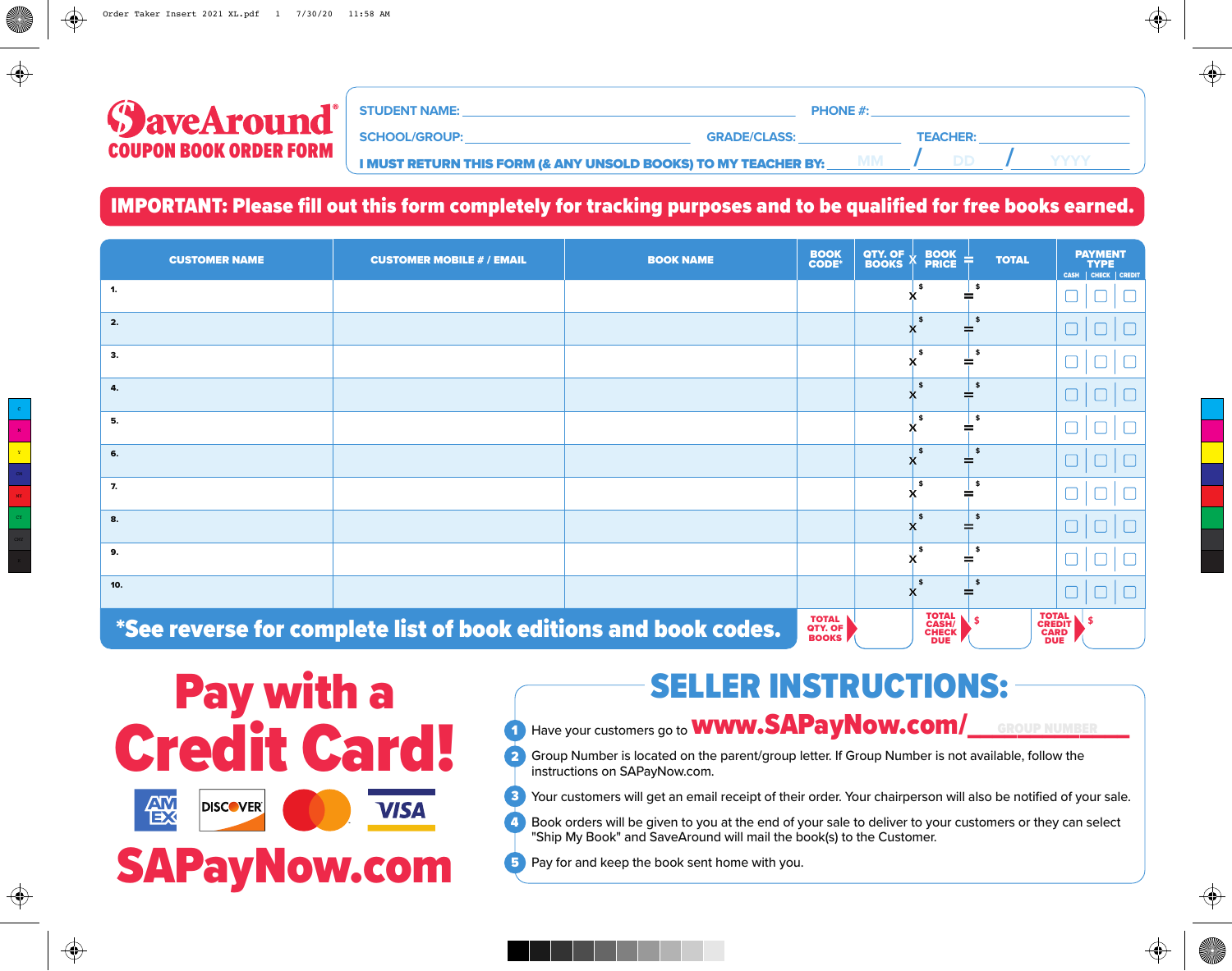| <b>STUDENT NAME:</b><br><b>PHONE #:</b>                        |                     |           |                 |  |
|----------------------------------------------------------------|---------------------|-----------|-----------------|--|
| <b>SCHOOL/GROUP:</b>                                           | <b>GRADE/CLASS:</b> |           | <b>TEACHER:</b> |  |
| I MUST RETURN THIS FORM (& ANY UNSOLD BOOKS) TO MY TEACHER BY: |                     | <b>MM</b> |                 |  |

#### IMPORTANT: Please fill out this form completely for tracking purposes and to be qualified for free books earned.

| <b>CUSTOMER NAME</b> | <b>CUSTOMER MOBILE # / EMAIL</b>                                | <b>BOOK NAME</b> | <b>BOOK</b><br><b>CODE*</b>             | QTY. OF $\downarrow$<br><b>BOOK</b><br><b>BOOKS</b><br><b>PRICE</b> | <b>TOTAL</b>  | <b>PAYMENT</b><br><b>TYPE</b><br>CASH   CHECK   CREDIT     |
|----------------------|-----------------------------------------------------------------|------------------|-----------------------------------------|---------------------------------------------------------------------|---------------|------------------------------------------------------------|
| 1.                   |                                                                 |                  |                                         |                                                                     | - \$          |                                                            |
| 2.                   |                                                                 |                  |                                         | $\mathbf{s}$                                                        | $\frac{1}{2}$ |                                                            |
| 3.                   |                                                                 |                  |                                         | - \$                                                                | \$            |                                                            |
| 4.                   |                                                                 |                  |                                         | $\mathbf{s}$                                                        | \$            |                                                            |
| 5.                   |                                                                 |                  |                                         | - 15                                                                | - \$          |                                                            |
| 6.                   |                                                                 |                  |                                         | - 15                                                                | $\frac{1}{2}$ |                                                            |
| 7.                   |                                                                 |                  |                                         | - 15                                                                | - \$          |                                                            |
| 8.                   |                                                                 |                  |                                         |                                                                     | \$            |                                                            |
| 9.                   |                                                                 |                  |                                         |                                                                     | - \$          |                                                            |
| 10.                  |                                                                 |                  |                                         |                                                                     | \$            |                                                            |
|                      | *See reverse for complete list of book editions and book codes. |                  | <b>TOTAL</b><br>QTY. OF<br><b>BOOKS</b> | TOTAL<br>CASH/<br>CHECK<br><b>DUE</b>                               |               | <b>TOTAL</b><br><b>CREDIT</b><br><b>CARD</b><br><b>DUE</b> |

Pay with a **Credit Card! &** 燄 **DISCOVER VISA** SAPayNow.com

## SELLER INSTRUCTIONS:

### Have your customers go to **WWW.SAPayNow.com/** GROUP NUMBER

⊕

- Group Number is located on the parent/group letter. If Group Number is not available, follow the instructions on SAPayNow.com.  $\overline{\mathbf{2}}$
- Your customers will get an email receipt of their order. Your chairperson will also be notified of your sale. 3
- Book orders will be given to you at the end of your sale to deliver to your customers or they can select "Ship My Book" and SaveAround will mail the book(s) to the Customer. 4
- **5** Pay for and keep the book sent home with you.

 $\bigoplus$ 

C

⊕